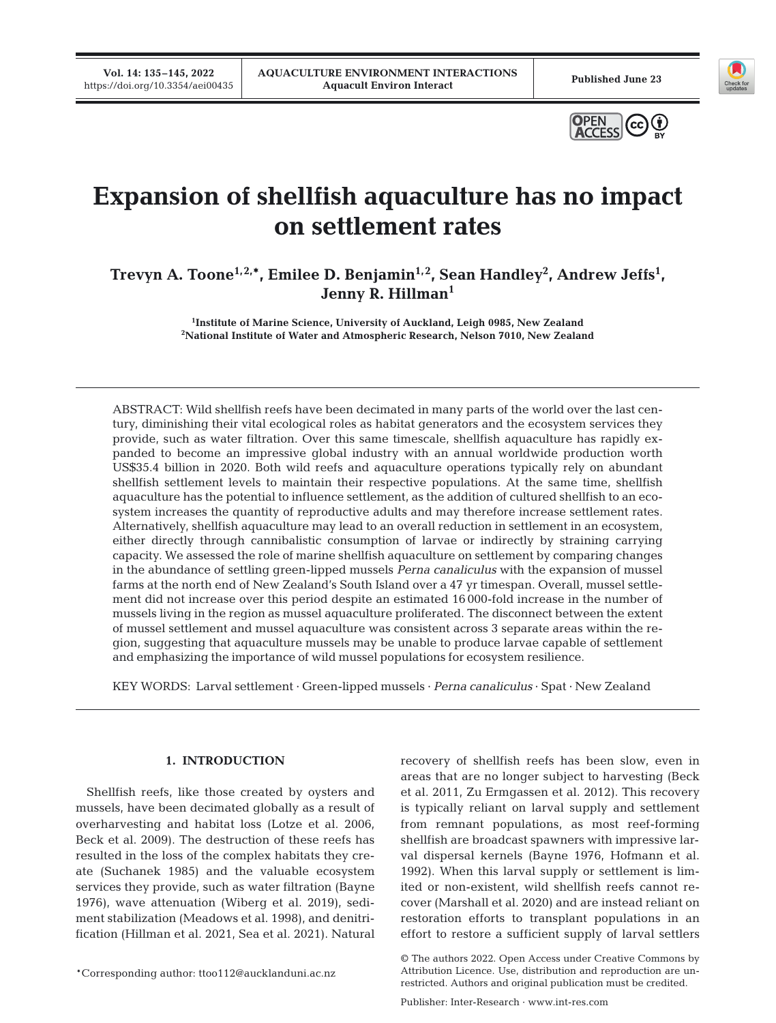**Vol. 14: 135–145, 2022** 





# **Expansion of shellfish aquaculture has no impact on settlement rates**

Trevyn A. Toone<sup>1,2,\*</sup>, Emilee D. Benjamin<sup>1,2</sup>, Sean Handley<sup>2</sup>, Andrew Jeffs<sup>1</sup>, **Jenny R. Hillman1** 

> <sup>1</sup>Institute of Marine Science, University of Auckland, Leigh 0985, New Zealand **Institute of Marine Science, University of Auckland, Leigh 0985, New Zealand 2 National Institute of Water and Atmospheric Research, Nelson 7010, New Zealand**

ABSTRACT: Wild shellfish reefs have been decimated in many parts of the world over the last century, diminishing their vital ecological roles as habitat generators and the ecosystem services they provide, such as water filtration. Over this same timescale, shellfish aquaculture has rapidly expanded to become an impressive global industry with an annual worldwide production worth US\$35.4 billion in 2020. Both wild reefs and aquaculture operations typically rely on abundant shellfish settlement levels to maintain their respective populations. At the same time, shellfish aquaculture has the potential to influence settlement, as the addition of cultured shellfish to an ecosystem increases the quantity of reproductive adults and may therefore increase settlement rates. Alternatively, shellfish aquaculture may lead to an overall reduction in settlement in an ecosystem, either directly through cannibalistic consumption of larvae or indirectly by straining carrying capacity. We assessed the role of marine shellfish aquaculture on settlement by comparing changes in the abundance of settling green-lipped mussels *Perna canaliculus* with the expansion of mussel farms at the north end of New Zealand's South Island over a 47 yr timespan. Overall, mussel settlement did not increase over this period despite an estimated 16 000-fold increase in the number of mussels living in the region as mussel aquaculture proliferated. The disconnect be tween the extent of mussel settlement and mussel aquaculture was consistent across 3 separate areas within the region, suggesting that aquaculture mussels may be unable to produce larvae capable of settlement and emphasizing the importance of wild mussel populations for ecosystem resilience.

KEY WORDS: Larval settlement · Green-lipped mussels · *Perna canaliculus* · Spat · New Zealand

# **1. INTRODUCTION**

Shellfish reefs, like those created by oysters and mussels, have been decimated globally as a result of overharvesting and habitat loss (Lotze et al. 2006, Beck et al. 2009). The destruction of these reefs has resulted in the loss of the complex habitats they create (Suchanek 1985) and the valuable ecosystem services they provide, such as water filtration (Bayne 1976), wave attenuation (Wiberg et al. 2019), sediment stabilization (Meadows et al. 1998), and denitrification (Hillman et al. 2021, Sea et al. 2021). Natural recovery of shellfish reefs has been slow, even in areas that are no longer subject to harvesting (Beck et al. 2011, Zu Ermgassen et al. 2012). This recovery is typically reliant on larval supply and settlement from remnant populations, as most reef-forming shellfish are broadcast spawners with impressive larval dispersal kernels (Bayne 1976, Hofmann et al. 1992). When this larval supply or settlement is limited or non-existent, wild shellfish reefs cannot re cover (Marshall et al. 2020) and are instead reliant on restoration efforts to transplant populations in an effort to restore a sufficient supply of larval settlers

<sup>©</sup> The authors 2022. Open Access under Creative Commons by Attribution Licence. Use, distribution and reproduction are unrestricted. Authors and original publication must be credited.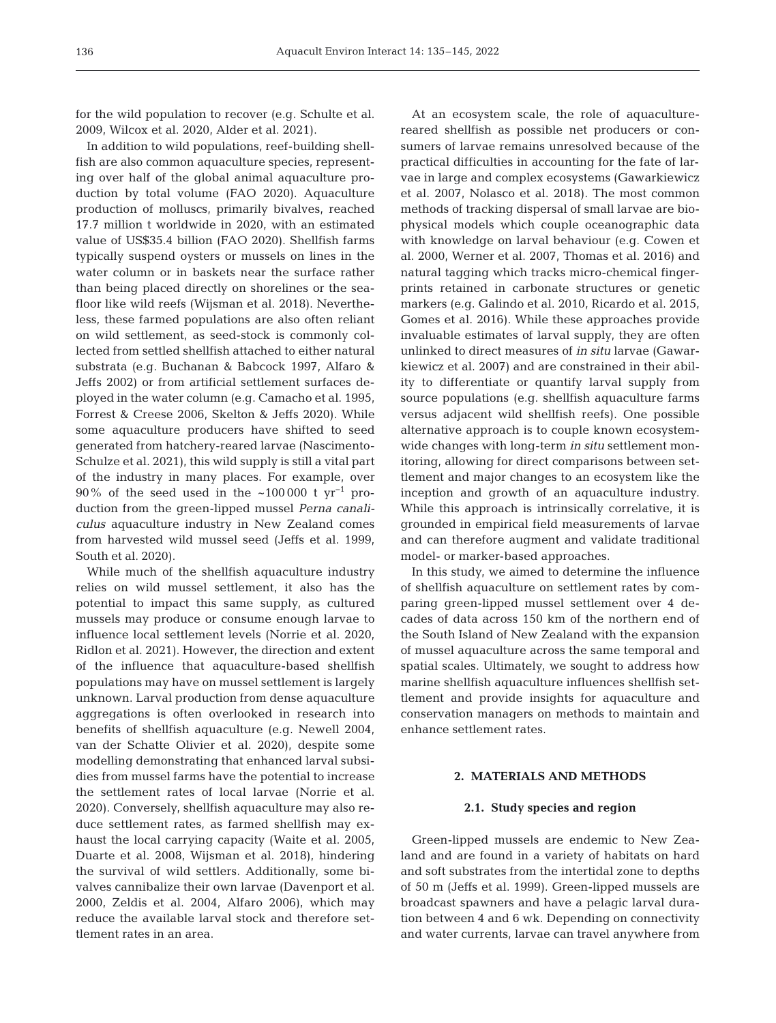for the wild population to recover (e.g. Schulte et al. 2009, Wilcox et al. 2020, Alder et al. 2021).

In addition to wild populations, reef-building shellfish are also common aquaculture species, representing over half of the global animal aquaculture production by total volume (FAO 2020). Aquaculture production of molluscs, primarily bivalves, reached 17.7 million t worldwide in 2020, with an estimated value of US\$35.4 billion (FAO 2020). Shellfish farms typically suspend oysters or mussels on lines in the water column or in baskets near the surface rather than being placed directly on shorelines or the seafloor like wild reefs (Wijsman et al. 2018). Nevertheless, these farmed populations are also often reliant on wild settlement, as seed-stock is commonly collected from settled shellfish attached to either natural substrata (e.g. Buchanan & Babcock 1997, Alfaro & Jeffs 2002) or from artificial settlement surfaces de ployed in the water column (e.g. Camacho et al. 1995, Forrest & Creese 2006, Skelton & Jeffs 2020). While some aquaculture producers have shifted to seed generated from hatchery-reared larvae (Nascimento-Schulze et al. 2021), this wild supply is still a vital part of the industry in many places. For example, over 90% of the seed used in the ~100 000 t  $\gamma r^{-1}$  production from the green-lipped mussel *Perna canaliculus* aquaculture industry in New Zealand comes from harvested wild mussel seed (Jeffs et al. 1999, South et al. 2020).

While much of the shellfish aquaculture industry relies on wild mussel settlement, it also has the potential to impact this same supply, as cultured mussels may produce or consume enough larvae to influence local settlement levels (Norrie et al. 2020, Ridlon et al. 2021). However, the direction and extent of the influence that aquaculture-based shellfish populations may have on mussel settlement is largely unknown. Larval production from dense aquaculture aggregations is often overlooked in research into benefits of shellfish aquaculture (e.g. Newell 2004, van der Schatte Olivier et al. 2020), despite some modelling demonstrating that enhanced larval subsidies from mussel farms have the potential to increase the settlement rates of local larvae (Norrie et al. 2020). Conversely, shellfish aquaculture may also reduce settlement rates, as farmed shellfish may exhaust the local carrying capacity (Waite et al. 2005, Duarte et al. 2008, Wijsman et al. 2018), hindering the survival of wild settlers. Additionally, some bivalves cannibalize their own larvae (Davenport et al. 2000, Zeldis et al. 2004, Alfaro 2006), which may reduce the available larval stock and therefore settlement rates in an area.

At an ecosystem scale, the role of aquaculturereared shellfish as possible net producers or consumers of larvae remains unresolved because of the practical difficulties in accounting for the fate of larvae in large and complex ecosystems (Gawarkiewicz et al. 2007, Nolasco et al. 2018). The most common methods of tracking dispersal of small larvae are biophysical models which couple oceanographic data with knowledge on larval behaviour (e.g. Cowen et al. 2000, Werner et al. 2007, Thomas et al. 2016) and natural tagging which tracks micro-chemical fingerprints retained in carbonate structures or genetic markers (e.g. Galindo et al. 2010, Ricardo et al. 2015, Gomes et al. 2016). While these approaches provide invaluable estimates of larval supply, they are often unlinked to direct measures of *in situ* larvae (Gawarkie wicz et al. 2007) and are constrained in their ability to differentiate or quantify larval supply from source populations (e.g. shellfish aquaculture farms versus adjacent wild shellfish reefs). One possible alternative approach is to couple known ecosystemwide changes with long-term *in situ* settlement monitoring, allowing for direct comparisons between settlement and major changes to an ecosystem like the inception and growth of an aquaculture industry. While this approach is intrinsically correlative, it is grounded in empirical field measurements of larvae and can therefore augment and validate traditional model- or marker-based approaches.

In this study, we aimed to determine the influence of shellfish aquaculture on settlement rates by comparing green-lipped mussel settlement over 4 decades of data across 150 km of the northern end of the South Island of New Zealand with the expansion of mussel aquaculture across the same temporal and spatial scales. Ultimately, we sought to address how marine shellfish aquaculture influences shellfish settlement and provide insights for aquaculture and conservation managers on methods to maintain and enhance settlement rates.

# **2. MATERIALS AND METHODS**

# **2.1. Study species and region**

Green-lipped mussels are endemic to New Zea land and are found in a variety of habitats on hard and soft substrates from the intertidal zone to depths of 50 m (Jeffs et al. 1999). Green-lipped mussels are broadcast spawners and have a pelagic larval duration between 4 and 6 wk. Depending on connectivity and water currents, larvae can travel anywhere from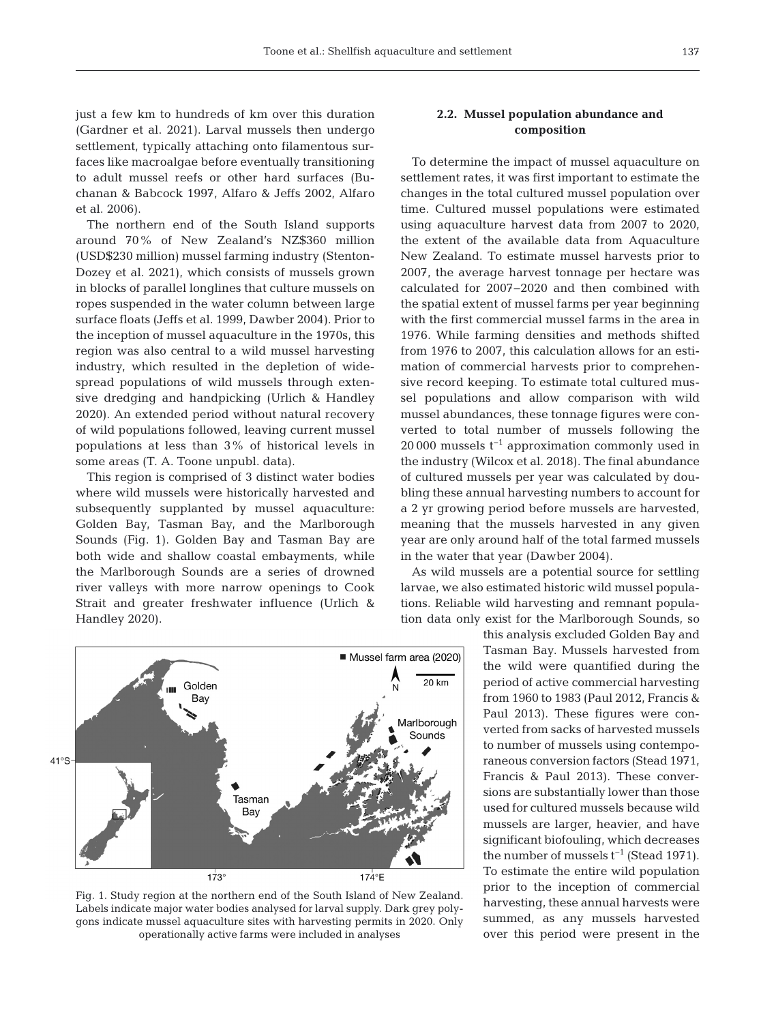just a few km to hundreds of km over this duration (Gardner et al. 2021). Larval mussels then undergo settlement, typically attaching onto filamentous surfaces like macroalgae before eventually transitioning to adult mussel reefs or other hard surfaces (Buchanan & Babcock 1997, Alfaro & Jeffs 2002, Alfaro et al. 2006).

The northern end of the South Island supports around 70% of New Zealand's NZ\$360 million (USD\$230 million) mussel farming industry (Stenton-Dozey et al. 2021), which consists of mussels grown in blocks of parallel longlines that culture mussels on ropes suspended in the water column between large surface floats (Jeffs et al. 1999, Dawber 2004). Prior to the inception of mussel aquaculture in the 1970s, this region was also central to a wild mussel harvesting industry, which resulted in the depletion of widespread populations of wild mussels through extensive dredging and handpicking (Urlich & Handley 2020). An extended period without natural recovery of wild populations followed, leaving current mussel populations at less than 3% of historical levels in some areas (T. A. Toone unpubl. data).

This region is comprised of 3 distinct water bodies where wild mussels were historically harvested and subsequently supplanted by mussel aquaculture: Golden Bay, Tasman Bay, and the Marlborough Sounds (Fig. 1). Golden Bay and Tasman Bay are both wide and shallow coastal embayments, while the Marlborough Sounds are a series of drowned river valleys with more narrow openings to Cook Strait and greater freshwater influence (Urlich & Handley 2020).



To determine the impact of mussel aquaculture on settlement rates, it was first important to estimate the changes in the total cultured mussel population over time. Cultured mussel populations were estimated using aquaculture harvest data from 2007 to 2020, the extent of the available data from Aquaculture New Zealand. To estimate mussel harvests prior to 2007, the average harvest tonnage per hectare was calculated for 2007−2020 and then combined with the spatial extent of mussel farms per year beginning with the first commercial mussel farms in the area in 1976. While farming densities and methods shifted from 1976 to 2007, this calculation allows for an estimation of commercial harvests prior to comprehensive record keeping. To estimate total cultured mussel populations and allow comparison with wild mussel abundances, these tonnage figures were converted to total number of mussels following the 20 000 mussels t−1 approximation commonly used in the industry (Wilcox et al. 2018). The final abundance of cultured mussels per year was calculated by doubling these annual harvesting numbers to account for a 2 yr growing period before mussels are harvested, meaning that the mussels harvested in any given year are only around half of the total farmed mussels in the water that year (Dawber 2004).

As wild mussels are a potential source for settling larvae, we also estimated historic wild mussel populations. Reliable wild harvesting and remnant population data only exist for the Marlborough Sounds, so

> this analysis excluded Golden Bay and Tasman Bay. Mussels harvested from the wild were quantified during the period of active commercial harvesting from 1960 to 1983 (Paul 2012, Francis & Paul 2013). These figures were converted from sacks of harvested mussels to number of mussels using contemporaneous conversion factors (Stead 1971, Francis & Paul 2013). These conversions are substantially lower than those used for cultured mussels because wild mussels are larger, heavier, and have significant biofouling, which decreases the number of mussels  $t^{-1}$  (Stead 1971). To estimate the entire wild population prior to the inception of commercial harvesting, these annual harvests were summed, as any mussels harvested over this period were present in the



Fig. 1. Study region at the northern end of the South Island of New Zealand. Labels indicate major water bodies analysed for larval supply. Dark grey polygons indicate mussel aquaculture sites with harvesting permits in 2020. Only operationally active farms were included in analyses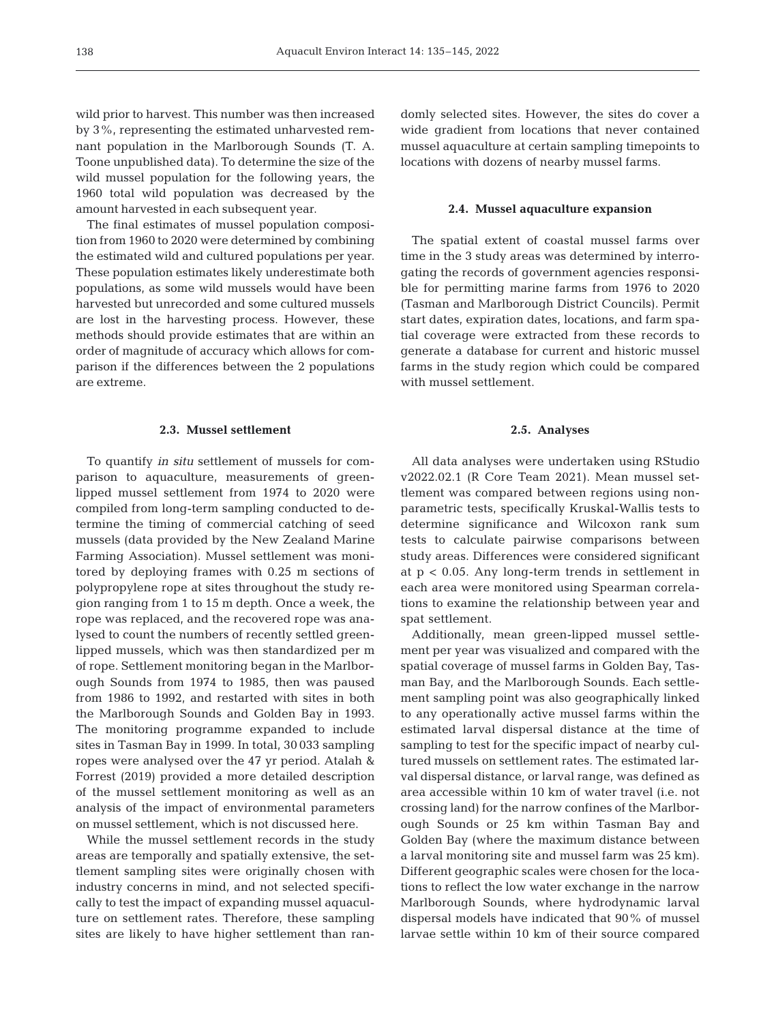wild prior to harvest. This number was then increased by 3%, representing the estimated unharvested remnant population in the Marlborough Sounds (T. A. Toone unpublished data). To determine the size of the wild mussel population for the following years, the 1960 total wild population was decreased by the amount harvested in each subsequent year.

The final estimates of mussel population composition from 1960 to 2020 were determined by combining the estimated wild and cultured populations per year. These population estimates likely underestimate both populations, as some wild mussels would have been harvested but unrecorded and some cultured mussels are lost in the harvesting process. However, these methods should provide estimates that are within an order of magnitude of accuracy which allows for comparison if the differences between the 2 populations are extreme.

## **2.3. Mussel settlement**

To quantify *in situ* settlement of mussels for comparison to aquaculture, measurements of greenlipped mussel settlement from 1974 to 2020 were compiled from long-term sampling conducted to determine the timing of commercial catching of seed mussels (data provided by the New Zealand Marine Farming Association). Mussel settlement was monitored by deploying frames with 0.25 m sections of polypropylene rope at sites throughout the study region ranging from 1 to 15 m depth. Once a week, the rope was replaced, and the recovered rope was analysed to count the numbers of recently settled greenlipped mussels, which was then standardized per m of rope. Settlement monitoring began in the Marlborough Sounds from 1974 to 1985, then was paused from 1986 to 1992, and restarted with sites in both the Marlborough Sounds and Golden Bay in 1993. The monitoring programme expanded to include sites in Tasman Bay in 1999. In total, 30 033 sampling ropes were analysed over the 47 yr period. Atalah & Forrest (2019) provided a more detailed description of the mussel settlement monitoring as well as an analysis of the impact of environmental parameters on mussel settlement, which is not discussed here.

While the mussel settlement records in the study areas are temporally and spatially extensive, the settlement sampling sites were originally chosen with industry concerns in mind, and not selected specifically to test the impact of expanding mussel aquaculture on settlement rates. Therefore, these sampling sites are likely to have higher settlement than randomly selected sites. However, the sites do cover a wide gradient from locations that never contained mussel aquaculture at certain sampling timepoints to locations with dozens of nearby mussel farms.

#### **2.4. Mussel aquaculture expansion**

The spatial extent of coastal mussel farms over time in the 3 study areas was determined by interrogating the records of government agencies responsible for permitting marine farms from 1976 to 2020 (Tasman and Marlborough District Councils). Permit start dates, expiration dates, locations, and farm spatial coverage were extracted from these records to generate a database for current and historic mussel farms in the study region which could be compared with mussel settlement.

# **2.5. Analyses**

All data analyses were undertaken using RStudio v2022.02.1 (R Core Team 2021). Mean mussel settlement was compared between regions using nonparametric tests, specifically Kruskal-Wallis tests to determine significance and Wilcoxon rank sum tests to calculate pairwise comparisons between study areas. Differences were considered significant at  $p < 0.05$ . Any long-term trends in settlement in each area were monitored using Spearman correlations to examine the relationship between year and spat settlement.

Additionally, mean green-lipped mussel settlement per year was visualized and compared with the spatial coverage of mussel farms in Golden Bay, Tasman Bay, and the Marlborough Sounds. Each settlement sampling point was also geographically linked to any operationally active mussel farms within the estimated larval dispersal distance at the time of sampling to test for the specific impact of nearby cultured mussels on settlement rates. The estimated larval dispersal distance, or larval range, was defined as area accessible within 10 km of water travel (i.e. not crossing land) for the narrow confines of the Marlborough Sounds or 25 km within Tasman Bay and Golden Bay (where the maximum distance between a larval monitoring site and mussel farm was 25 km). Different geographic scales were chosen for the locations to reflect the low water exchange in the narrow Marlborough Sounds, where hydrodynamic larval dispersal models have indicated that 90% of mussel larvae settle within 10 km of their source compared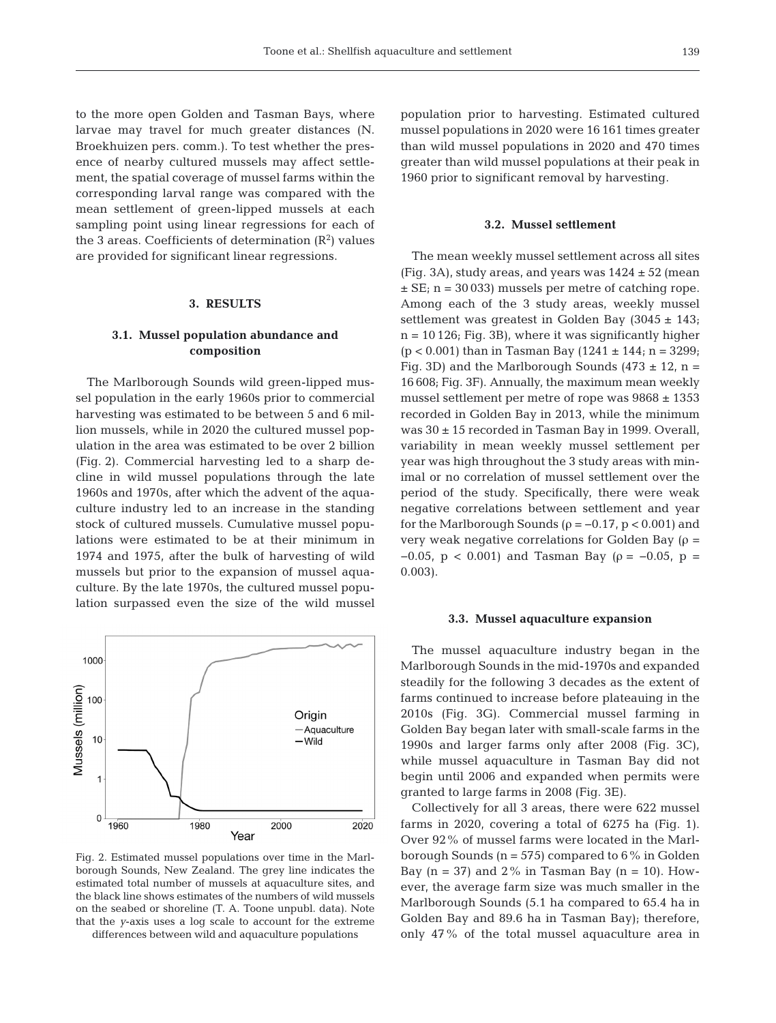to the more open Golden and Tasman Bays, where larvae may travel for much greater distances (N. Broekhuizen pers. comm.). To test whether the presence of nearby cultured mussels may affect settlement, the spatial coverage of mussel farms within the corresponding larval range was compared with the mean settlement of green-lipped mussels at each sampling point using linear regressions for each of the 3 areas. Coefficients of determination  $(R^2)$  values are provided for significant linear regressions.

# **3. RESULTS**

# **3.1. Mussel population abundance and composition**

The Marlborough Sounds wild green-lipped mussel population in the early 1960s prior to commercial harvesting was estimated to be between 5 and 6 million mussels, while in 2020 the cultured mussel population in the area was estimated to be over 2 billion (Fig. 2). Commercial harvesting led to a sharp de cline in wild mussel populations through the late 1960s and 1970s, after which the advent of the aquaculture industry led to an increase in the standing stock of cultured mussels. Cumulative mussel populations were estimated to be at their minimum in 1974 and 1975, after the bulk of harvesting of wild mussels but prior to the expansion of mussel aquaculture. By the late 1970s, the cultured mussel population surpassed even the size of the wild mussel



Fig. 2. Estimated mussel populations over time in the Marlborough Sounds, New Zealand. The grey line indicates the estimated total number of mussels at aquaculture sites, and the black line shows estimates of the numbers of wild mussels on the seabed or shoreline (T. A. Toone unpubl. data). Note that the *y*-axis uses a log scale to account for the extreme

differences between wild and aquaculture populations

population prior to harvesting. Estimated cultured mussel populations in 2020 were 16 161 times greater than wild mussel populations in 2020 and 470 times greater than wild mussel populations at their peak in 1960 prior to significant removal by harvesting.

### **3.2. Mussel settlement**

The mean weekly mussel settlement across all sites (Fig. 3A), study areas, and years was  $1424 \pm 52$  (mean  $\pm$  SE; n = 30 033) mussels per metre of catching rope. Among each of the 3 study areas, weekly mussel settlement was greatest in Golden Bay  $(3045 \pm 143)$ ;  $n = 10 126$ ; Fig. 3B), where it was significantly higher  $(p < 0.001)$  than in Tasman Bay  $(1241 \pm 144; n = 3299;$ Fig. 3D) and the Marlborough Sounds (473  $\pm$  12, n = 16 608; Fig. 3F). Annually, the maximum mean weekly mussel settlement per metre of rope was  $9868 \pm 1353$ recorded in Golden Bay in 2013, while the minimum was 30 ± 15 recorded in Tasman Bay in 1999. Overall, variability in mean weekly mussel settlement per year was high throughout the 3 study areas with minimal or no correlation of mussel settlement over the period of the study. Specifically, there were weak negative correlations between settlement and year for the Marlborough Sounds ( $\rho = -0.17$ ,  $p < 0.001$ ) and very weak negative correlations for Golden Bay (ρ =  $-0.05$ , p < 0.001) and Tasman Bay (ρ =  $-0.05$ , p = 0.003).

#### **3.3. Mussel aquaculture expansion**

The mussel aquaculture industry began in the Marlborough Sounds in the mid-1970s and expanded steadily for the following 3 decades as the extent of farms continued to increase before plateauing in the 2010s (Fig. 3G). Commercial mussel farming in Golden Bay began later with small-scale farms in the 1990s and larger farms only after 2008 (Fig. 3C), while mussel aquaculture in Tasman Bay did not begin until 2006 and expanded when permits were granted to large farms in 2008 (Fig. 3E).

Collectively for all 3 areas, there were 622 mussel farms in 2020, covering a total of 6275 ha (Fig. 1). Over 92% of mussel farms were located in the Marlborough Sounds ( $n = 575$ ) compared to 6% in Golden Bay  $(n = 37)$  and  $2\%$  in Tasman Bay  $(n = 10)$ . However, the average farm size was much smaller in the Marlborough Sounds (5.1 ha compared to 65.4 ha in Golden Bay and 89.6 ha in Tasman Bay); therefore, only 47% of the total mussel aquaculture area in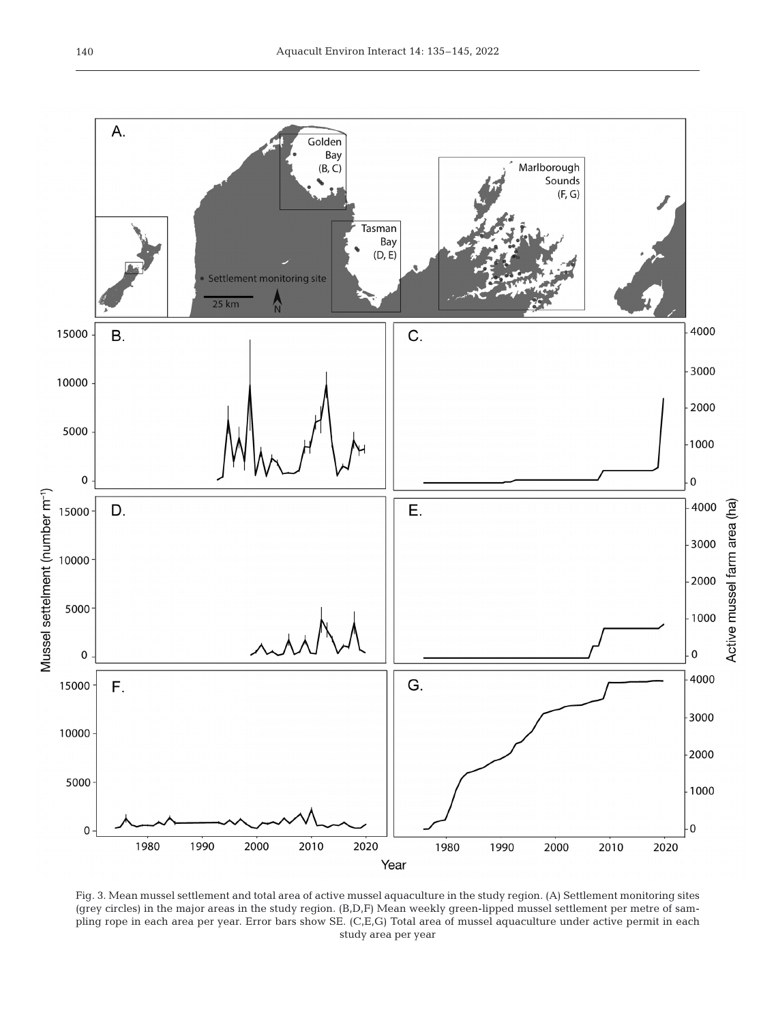

Fig. 3. Mean mussel settlement and total area of active mussel aquaculture in the study region. (A) Settlement monitoring sites (grey circles) in the major areas in the study region. (B,D,F) Mean weekly green-lipped mussel settlement per metre of sampling rope in each area per year. Error bars show SE. (C,E,G) Total area of mussel aquaculture under active permit in each study area per year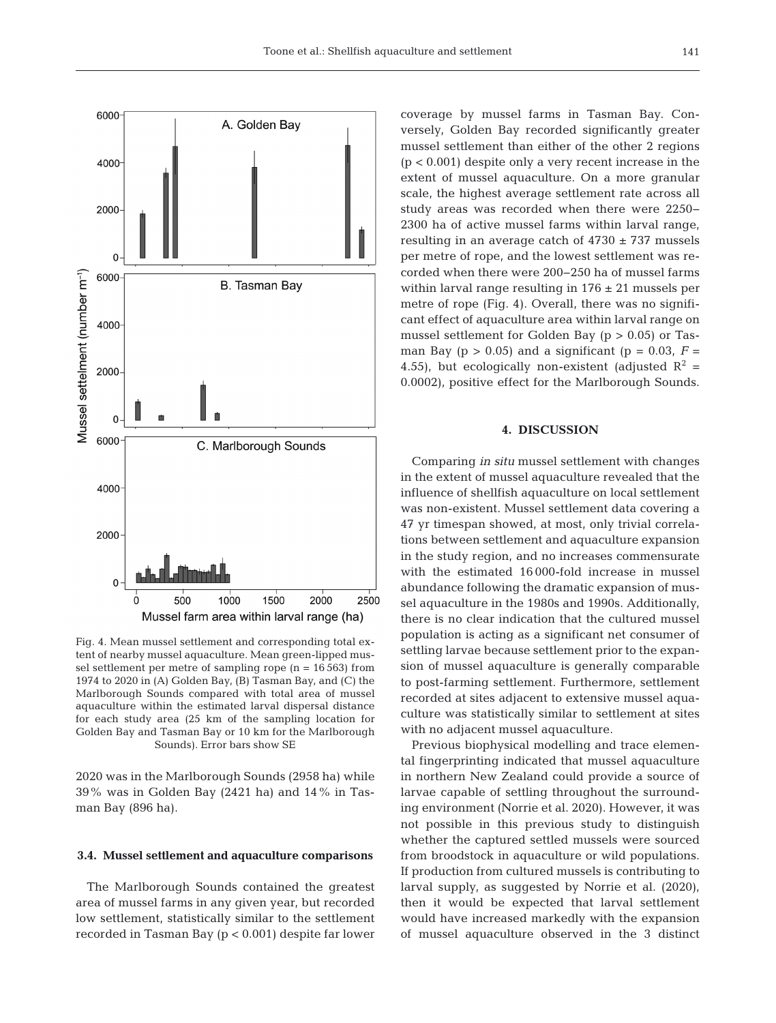

Fig. 4. Mean mussel settlement and corresponding total extent of nearby mussel aquaculture. Mean green-lipped mussel settlement per metre of sampling rope (n = 16 563) from 1974 to 2020 in (A) Golden Bay, (B) Tasman Bay, and (C) the Marlborough Sounds compared with total area of mussel aquaculture within the estimated larval dispersal distance for each study area (25 km of the sampling location for Golden Bay and Tasman Bay or 10 km for the Marlborough Sounds). Error bars show SE

2020 was in the Marlborough Sounds (2958 ha) while 39% was in Golden Bay (2421 ha) and 14% in Tasman Bay (896 ha).

# **3.4. Mussel settlement and aquaculture comparisons**

The Marlborough Sounds contained the greatest area of mussel farms in any given year, but recorded low settlement, statistically similar to the settlement recorded in Tasman Bay (p < 0.001) despite far lower

coverage by mussel farms in Tasman Bay. Conversely, Golden Bay recorded significantly greater mussel settlement than either of the other 2 regions  $(p < 0.001)$  despite only a very recent increase in the extent of mussel aquaculture. On a more granular scale, the highest average settlement rate across all study areas was recorded when there were 2250− 2300 ha of active mussel farms within larval range, resulting in an average catch of  $4730 \pm 737$  mussels per metre of rope, and the lowest settlement was recorded when there were 200−250 ha of mussel farms within larval range resulting in  $176 \pm 21$  mussels per metre of rope (Fig. 4). Overall, there was no significant effect of aquaculture area within larval range on mussel settlement for Golden Bay (p > 0.05) or Tasman Bay ( $p > 0.05$ ) and a significant ( $p = 0.03$ ,  $F =$ 4.55), but ecologically non-existent (adjusted  $\mathbb{R}^2$  = 0.0002), positive effect for the Marlborough Sounds.

# **4. DISCUSSION**

Comparing *in situ* mussel settlement with changes in the extent of mussel aquaculture revealed that the influence of shellfish aquaculture on local settlement was non-existent. Mussel settlement data covering a 47 yr timespan showed, at most, only trivial correlations between settlement and aquaculture expansion in the study region, and no increases commensurate with the estimated 16 000-fold increase in mussel abundance following the dramatic expansion of mussel aquaculture in the 1980s and 1990s. Additionally, there is no clear indication that the cultured mussel population is acting as a significant net consumer of settling larvae because settlement prior to the expansion of mussel aquaculture is generally comparable to post-farming settlement. Furthermore, settlement recorded at sites adjacent to extensive mussel aquaculture was statistically similar to settlement at sites with no adjacent mussel aquaculture.

Previous biophysical modelling and trace elemental fingerprinting indicated that mussel aquaculture in northern New Zealand could provide a source of larvae capable of settling throughout the surrounding environment (Norrie et al. 2020). However, it was not possible in this previous study to distinguish whether the captured settled mussels were sourced from broodstock in aquaculture or wild populations. If production from cultured mussels is contributing to larval supply, as suggested by Norrie et al. (2020), then it would be expected that larval settlement would have increased markedly with the expansion of mussel aquaculture observed in the 3 distinct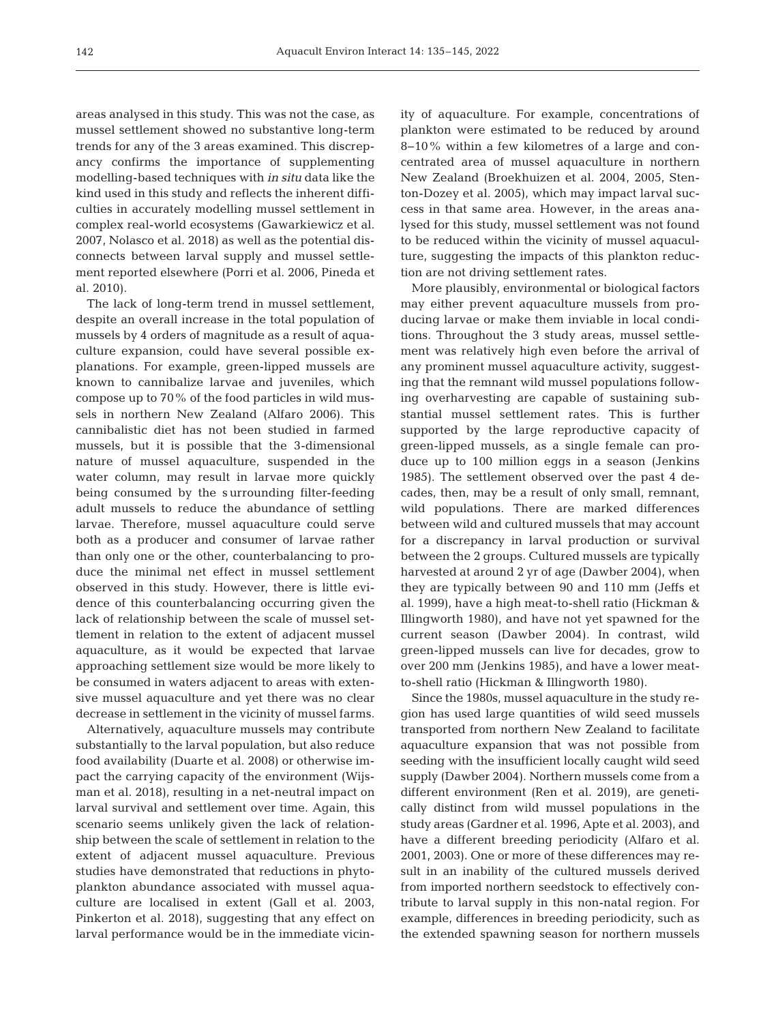areas analysed in this study. This was not the case, as mussel settlement showed no substantive long-term trends for any of the 3 areas examined. This discrepancy confirms the importance of supplementing modelling-based techniques with *in situ* data like the kind used in this study and reflects the inherent difficulties in accurately modelling mussel settlement in complex real-world ecosystems (Gawarkiewicz et al. 2007, Nolasco et al. 2018) as well as the potential disconnects between larval supply and mussel settlement reported elsewhere (Porri et al. 2006, Pineda et al. 2010).

The lack of long-term trend in mussel settlement, despite an overall increase in the total population of mussels by 4 orders of magnitude as a result of aquaculture expansion, could have several possible explanations. For example, green-lipped mussels are known to cannibalize larvae and juveniles, which compose up to 70% of the food particles in wild mussels in northern New Zealand (Alfaro 2006). This cannibalistic diet has not been studied in farmed mussels, but it is possible that the 3-dimensional nature of mussel aquaculture, suspended in the water column, may result in larvae more quickly being consumed by the s urrounding filter-feeding adult mussels to reduce the abundance of settling larvae. Therefore, mussel aquaculture could serve both as a producer and consumer of larvae rather than only one or the other, counterbalancing to produce the minimal net effect in mussel settlement observed in this study. However, there is little evidence of this counterbalancing occurring given the lack of relationship between the scale of mussel settlement in relation to the extent of adjacent mussel aquaculture, as it would be expected that larvae approaching settlement size would be more likely to be consumed in waters adjacent to areas with extensive mussel aquaculture and yet there was no clear decrease in settlement in the vicinity of mussel farms.

Alternatively, aquaculture mussels may contribute substantially to the larval population, but also reduce food availability (Duarte et al. 2008) or otherwise im pact the carrying capacity of the environment (Wijsman et al. 2018), resulting in a net-neutral impact on larval survival and settlement over time. Again, this scenario seems unlikely given the lack of relationship between the scale of settlement in relation to the extent of adjacent mussel aquaculture. Previous studies have demonstrated that reductions in phytoplankton abundance associated with mussel aquaculture are localised in extent (Gall et al. 2003, Pinkerton et al. 2018), suggesting that any effect on larval performance would be in the immediate vicinity of aquaculture. For example, concentrations of plankton were estimated to be reduced by around 8−10% within a few kilometres of a large and concentrated area of mussel aquaculture in northern New Zealand (Broekhuizen et al. 2004, 2005, Stenton-Dozey et al. 2005), which may impact larval success in that same area. However, in the areas analysed for this study, mussel settlement was not found to be reduced within the vicinity of mussel aquaculture, suggesting the impacts of this plankton reduction are not driving settlement rates.

More plausibly, environmental or biological factors may either prevent aquaculture mussels from producing larvae or make them inviable in local conditions. Throughout the 3 study areas, mussel settlement was relatively high even before the arrival of any prominent mussel aquaculture activity, suggesting that the remnant wild mussel populations following overharvesting are capable of sustaining substantial mussel settlement rates. This is further supported by the large reproductive capacity of green-lipped mussels, as a single female can produce up to 100 million eggs in a season (Jenkins 1985). The settlement observed over the past 4 decades, then, may be a result of only small, remnant, wild populations. There are marked differences between wild and cultured mussels that may account for a discrepancy in larval production or survival between the 2 groups. Cultured mussels are typically harvested at around 2 yr of age (Dawber 2004), when they are typically between 90 and 110 mm (Jeffs et al. 1999), have a high meat-to-shell ratio (Hickman & Illingworth 1980), and have not yet spawned for the current season (Dawber 2004). In contrast, wild green-lipped mussels can live for decades, grow to over 200 mm (Jenkins 1985), and have a lower meatto-shell ratio (Hickman & Illingworth 1980).

Since the 1980s, mussel aquaculture in the study region has used large quantities of wild seed mussels transported from northern New Zealand to facilitate aquaculture expansion that was not possible from seeding with the insufficient locally caught wild seed supply (Dawber 2004). Northern mussels come from a different environment (Ren et al. 2019), are genetically distinct from wild mussel populations in the study areas (Gardner et al. 1996, Apte et al. 2003), and have a different breeding periodicity (Alfaro et al. 2001, 2003). One or more of these differences may result in an inability of the cultured mussels derived from imported northern seedstock to effectively contribute to larval supply in this non-natal region. For example, differences in breeding periodicity, such as the extended spawning season for northern mussels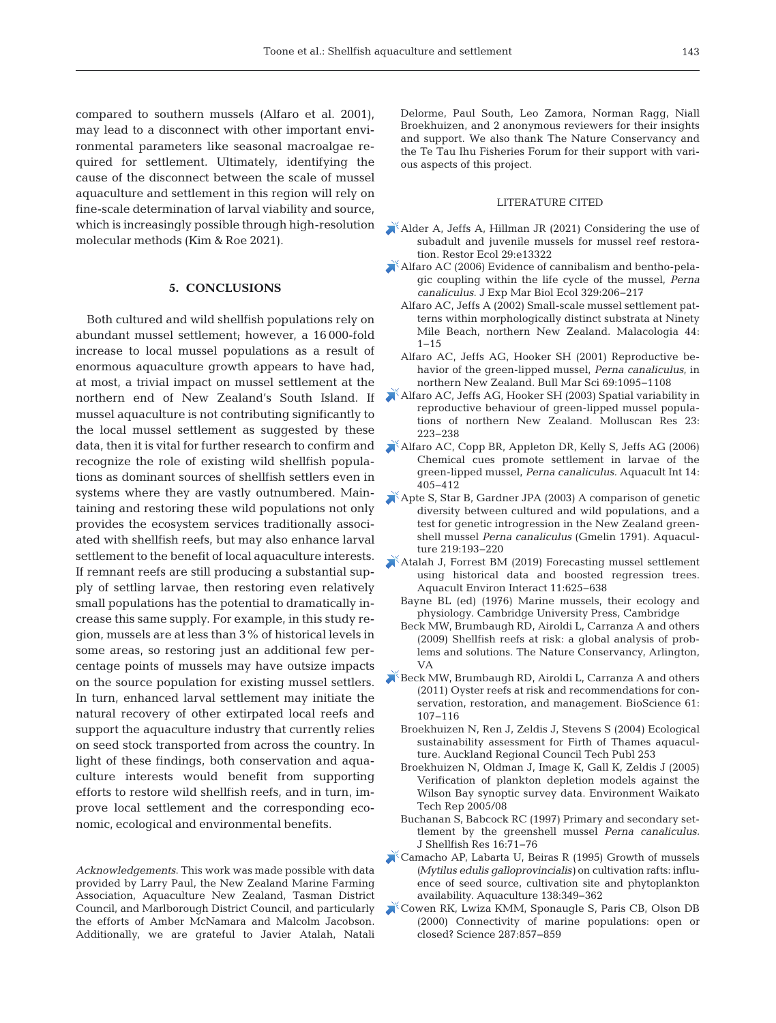compared to southern mussels (Alfaro et al. 2001), may lead to a disconnect with other important environmental parameters like seasonal macroalgae re quired for settlement. Ultimately, identifying the cause of the disconnect between the scale of mussel aquaculture and settlement in this region will rely on fine-scale determination of larval viability and source, which is increasingly possible through high-resolution molecular methods (Kim & Roe 2021).

## **5. CONCLUSIONS**

Both cultured and wild shellfish populations rely on abundant mussel settlement; however, a 16 000-fold increase to local mussel populations as a result of enormous aquaculture growth appears to have had, at most, a trivial impact on mussel settlement at the northern end of New Zealand's South Island. If mussel aquaculture is not contributing significantly to the local mussel settlement as suggested by these data, then it is vital for further research to confirm and recognize the role of existing wild shellfish populations as dominant sources of shellfish settlers even in systems where they are vastly outnumbered. Maintaining and restoring these wild populations not only provides the ecosystem services traditionally associated with shellfish reefs, but may also enhance larval settlement to the benefit of local aquaculture interests. If remnant reefs are still producing a substantial supply of settling larvae, then restoring even relatively small populations has the potential to dramatically increase this same supply. For example, in this study region, mussels are at less than 3% of historical levels in some areas, so restoring just an additional few percentage points of mussels may have outsize impacts on the source population for existing mussel settlers. In turn, enhanced larval settlement may initiate the natural recovery of other extirpated local reefs and support the aquaculture industry that currently relies on seed stock transported from across the country. In light of these findings, both conservation and aquaculture interests would benefit from supporting efforts to restore wild shellfish reefs, and in turn, improve local settlement and the corresponding economic, ecological and environmental benefits.

*Acknowledgements*. This work was made possible with data provided by Larry Paul, the New Zealand Marine Farming Association, Aquaculture New Zealand, Tasman District Council, and Marlborough District Council, and particularly the efforts of Amber McNamara and Malcolm Jacobson. Additionally, we are grateful to Javier Atalah, Natali

Delorme, Paul South, Leo Zamora, Norman Ragg, Niall Broekhuizen, and 2 anonymous reviewers for their insights and support. We also thank The Nature Conservancy and the Te Tau Ihu Fisheries Forum for their support with various aspects of this project.

# LITERATURE CITED

- [Alder A, Jeffs A, Hillman JR \(2021\) Considering the use of](https://doi.org/10.1111/rec.13322)  subadult and juvenile mussels for mussel reef restoration. Restor Ecol 29:e13322
- [Alfaro AC \(2006\) Evidence of cannibalism and bentho-pela](https://doi.org/10.1016/j.jembe.2005.09.002)  gic coupling within the life cycle of the mussel, *Perna canaliculus*. J Exp Mar Biol Ecol 329: 206−217
	- Alfaro AC, Jeffs A (2002) Small-scale mussel settlement patterns within morphologically distinct substrata at Ninety Mile Beach, northern New Zealand. Malacologia 44: 1−15
	- Alfaro AC, Jeffs AG, Hooker SH (2001) Reproductive be havior of the green-lipped mussel, *Perna canaliculus*, in northern New Zealand. Bull Mar Sci 69: 1095−1108
- [Alfaro AC, Jeffs AG, Hooker SH \(2003\) Spatial variability in](https://doi.org/10.1071/MR03007)  reproductive behaviour of green-lipped mussel populations of northern New Zealand. Molluscan Res 23: 223−238
- [Alfaro AC, Copp BR, Appleton DR, Kelly S, Jeffs AG \(2006\)](https://doi.org/10.1007/s10499-005-9041-y)  Chemical cues promote settlement in larvae of the green-lipped mussel, *Perna canaliculus.* Aquacult Int 14: 405−412
- [Apte S, Star B, Gardner JPA \(2003\) A comparison of genetic](https://doi.org/10.1016/S0044-8486(03)00003-6)  diversity between cultured and wild populations, and a test for genetic introgression in the New Zealand greenshell mussel *Perna canaliculus* (Gmelin 1791). Aquaculture 219: 193−220
- [Atalah J, Forrest BM \(2019\) Forecasting mussel settlement](https://doi.org/10.3354/aei00337)  using historical data and boosted regression trees. Aquacult Environ Interact 11: 625−638
	- Bayne BL (ed) (1976) Marine mussels, their ecology and physiology. Cambridge University Press, Cambridge
	- Beck MW, Brumbaugh RD, Airoldi L, Carranza A and others (2009) Shellfish reefs at risk: a global analysis of problems and solutions. The Nature Conservancy, Arlington, VA
- Beck MW, Brumbaugh RD, Airoldi L, Carranza A and others (2011) Oyster reefs at risk and recommendations for conservation, restoration, and management. BioScience 61: 107−116
	- Broekhuizen N, Ren J, Zeldis J, Stevens S (2004) Ecological sustainability assessment for Firth of Thames aquaculture. Auckland Regional Council Tech Publ 253
	- Broekhuizen N, Oldman J, Image K, Gall K, Zeldis J (2005) Verification of plankton depletion models against the Wilson Bay synoptic survey data. Environment Waikato Tech Rep 2005/08
	- Buchanan S, Babcock RC (1997) Primary and secondary settlement by the greenshell mussel *Perna canaliculus.* J Shellfish Res 16: 71−76
- [Camacho AP, Labarta U, Beiras R \(1995\) Growth of mussels](https://doi.org/10.1016/0044-8486(95)01139-0)  *(Mytilus edulis galloprovincialis)* on cultivation rafts: influence of seed source, cultivation site and phytoplankton availability. Aquaculture 138: 349−362
- [Cowen RK, Lwiza KMM, Sponaugle S, Paris CB, Olson DB](https://doi.org/10.1126/science.287.5454.857)  (2000) Connectivity of marine populations: open or closed? Science 287: 857−859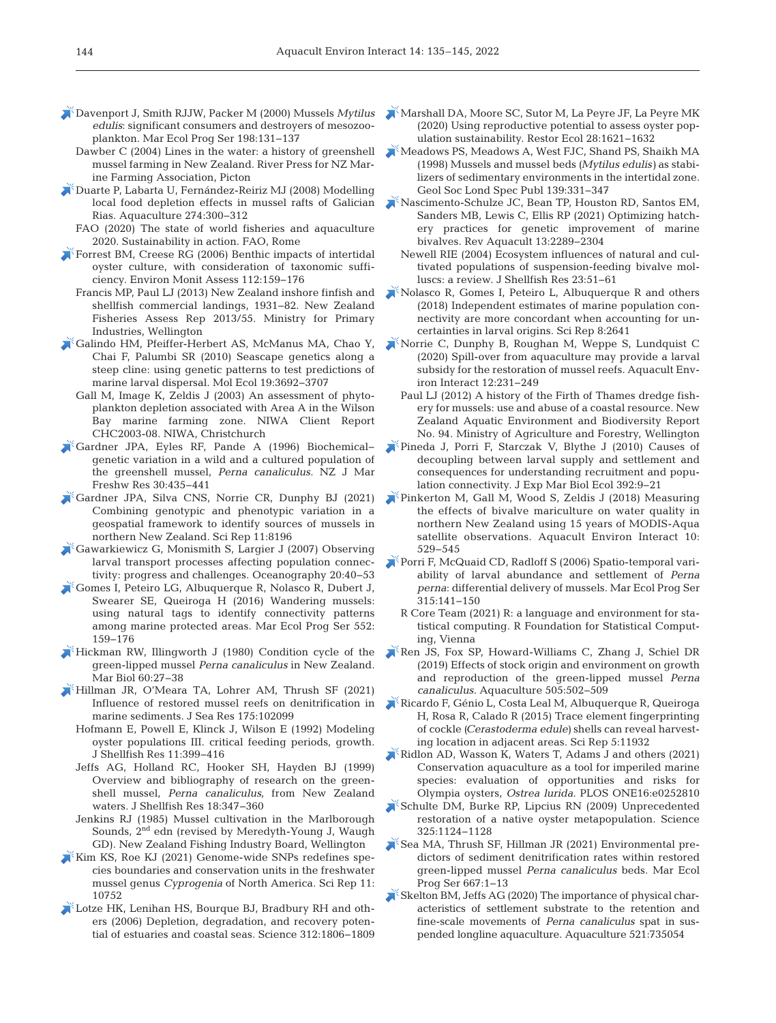- [Davenport J, Smith RJJW, Packer M \(2000\) Mussels](https://doi.org/10.3354/meps198131) *Mytilus*  edulis: significant consumers and destroyers of mesozooplankton. Mar Ecol Prog Ser 198: 131−137
	- Dawber C (2004) Lines in the water: a history of greenshell mussel farming in New Zealand. River Press for NZ Marine Farming Association, Picton
- [Duarte P, Labarta U, Fernández-Reiriz MJ \(2008\) Modelling](https://doi.org/10.1016/j.aquaculture.2007.11.025)  local food depletion effects in mussel rafts of Galician Rias. Aquaculture 274: 300−312
	- FAO (2020) The state of world fisheries and aquaculture 2020. Sustainability in action. FAO, Rome
- [Forrest BM, Creese RG \(2006\) Benthic impacts of intertidal](https://doi.org/10.1007/s10661-006-0359-3)  oyster culture, with consideration of taxonomic sufficiency. Environ Monit Assess 112: 159−176
	- Francis MP, Paul LJ (2013) New Zealand inshore finfish and shellfish commercial landings, 1931−82. New Zealand Fisheries Assess Rep 2013/55. Ministry for Primary Industries, Wellington
- [Galindo HM, Pfeiffer-Herbert AS, McManus MA, Chao Y,](https://doi.org/10.1111/j.1365-294X.2010.04694.x)  Chai F, Palumbi SR (2010) Seascape genetics along a steep cline: using genetic patterns to test predictions of marine larval dispersal. Mol Ecol 19: 3692−3707
	- Gall M, Image K, Zeldis J (2003) An assessment of phytoplankton depletion associated with Area A in the Wilson Bay marine farming zone. NIWA Client Report CHC2003-08. NIWA, Christchurch
- [Gardner JPA, Eyles RF, Pande A \(1996\) Biochemical−](https://doi.org/10.1080/00288330.1996.9516731) genetic variation in a wild and a cultured population of the greenshell mussel, *Perna canaliculus.* NZ J Mar Freshw Res 30: 435−441
- [Gardner JPA, Silva CNS, Norrie CR, Dunphy BJ \(2021\)](https://pubmed.ncbi.nlm.nih.gov/33854121)  Combining genotypic and phenotypic variation in a geospatial framework to identify sources of mussels in northern New Zealand. Sci Rep 11:8196
- [Gawarkiewicz G, Monismith S, Largier J \(2007\) Observing](https://doi.org/10.5670/oceanog.2007.28)  larval transport processes affecting population connectivity: progress and challenges. Oceanography 20:40−53
- [Gomes I, Peteiro LG, Albuquerque R, Nolasco R, Dubert J,](https://doi.org/10.3354/meps11753)  Swearer SE, Queiroga H (2016) Wandering mussels: using natural tags to identify connectivity patterns among marine protected areas. Mar Ecol Prog Ser 552: 159−176
- $\blacktriangleright$  Hickman RW, Illingworth J (1980) Condition cycle of the green-lipped mussel *Perna canaliculus* in New Zealand. Mar Biol 60:27-38
- [Hillman JR, O'Meara TA, Lohrer AM, Thrush SF \(2021\)](https://doi.org/10.1016/j.seares.2021.102099)  Influence of restored mussel reefs on denitrification in marine sediments. J Sea Res 175: 102099
	- Hofmann E, Powell E, Klinck J, Wilson E (1992) Modeling oyster populations III. critical feeding periods, growth. J Shellfish Res 11: 399−416
	- Jeffs AG, Holland RC, Hooker SH, Hayden BJ (1999) Overview and bibliography of research on the greenshell mussel, *Perna canaliculus*, from New Zealand waters. J Shellfish Res 18:347-360
	- Jenkins RJ (1985) Mussel cultivation in the Marlborough Sounds, 2nd edn (revised by Meredyth-Young J, Waugh GD). New Zealand Fishing Industry Board, Wellington
- [Kim KS, Roe KJ \(2021\) Genome-wide SNPs redefines spe](https://pubmed.ncbi.nlm.nih.gov/34031525)cies boundaries and conservation units in the freshwater mussel genus *Cyprogenia* of North America. Sci Rep 11: 10752
- [Lotze HK, Lenihan HS, Bourque BJ, Bradbury RH and oth](https://doi.org/10.1126/science.1128035)ers (2006) Depletion, degradation, and recovery potential of estuaries and coastal seas. Science 312: 1806−1809
- [Marshall DA, Moore SC, Sutor M, La Peyre JF, La Peyre MK](https://doi.org/10.1111/rec.13225)  (2020) Using reproductive potential to assess oyster population sustainability. Restor Ecol 28: 1621−1632
- [Meadows PS, Meadows A, West FJC, Shand PS, Shaikh MA](https://doi.org/10.1144/GSL.SP.1998.139.01.26)  (1998) Mussels and mussel beds *(Mytilus edulis)* as stabilizers of sedimentary environments in the intertidal zone. Geol Soc Lond Spec Publ 139:331-347
- [Nascimento-Schulze JC, Bean TP, Houston RD, Santos EM,](https://doi.org/10.1111/raq.12568)  Sanders MB, Lewis C, Ellis RP (2021) Optimizing hatchery practices for genetic improvement of marine bivalves. Rev Aquacult 13:2289-2304
	- Newell RIE (2004) Ecosystem influences of natural and cultivated populations of suspension-feeding bivalve molluscs: a review. J Shellfish Res 23:51-61
- [Nolasco R, Gomes I, Peteiro L, Albuquerque R and others](https://doi.org/10.1038/s41598-018-19833-w)  (2018) Independent estimates of marine population connectivity are more concordant when accounting for uncertainties in larval origins. Sci Rep 8:2641
- [Norrie C, Dunphy B, Roughan M, Weppe S, Lundquist C](https://doi.org/10.3354/aei00363)  (2020) Spill-over from aquaculture may provide a larval subsidy for the restoration of mussel reefs. Aquacult Environ Interact 12: 231−249
	- Paul LJ (2012) A history of the Firth of Thames dredge fishery for mussels:use and abuse of a coastal resource. New Zealand Aquatic Environment and Biodiversity Report No. 94. Ministry of Agriculture and Forestry, Wellington
- [Pineda J, Porri F, Starczak V, Blythe J \(2010\) Causes of](https://doi.org/10.1016/j.jembe.2010.04.008)  decoupling between larval supply and settlement and consequences for understanding recruitment and population connectivity. J Exp Mar Biol Ecol 392:9−21
- [Pinkerton M, Gall M, Wood S, Zeldis J \(2018\) Measuring](https://doi.org/10.3354/aei00288)  the effects of bivalve mariculture on water quality in northern New Zealand using 15 years of MODIS-Aqua satellite observations. Aquacult Environ Interact 10: 529−545
- [Porri F, McQuaid CD, Radloff S \(2006\) Spatio-temporal vari](https://doi.org/10.3354/meps315141)ability of larval abundance and settlement of *Perna*  perna: differential delivery of mussels. Mar Ecol Prog Ser 315: 141−150
	- R Core Team (2021) R: a language and environment for statistical computing. R Foundation for Statistical Computing, Vienna
- [Ren JS, Fox SP, Howard-Williams C, Zhang J, Schiel DR](https://doi.org/10.1016/j.aquaculture.2019.03.011)  (2019) Effects of stock origin and environment on growth and reproduction of the green-lipped mussel *Perna canaliculus.* Aquaculture 505: 502−509
- [Ricardo F, Génio L, Costa Leal M, Albuquerque R, Queiroga](https://pubmed.ncbi.nlm.nih.gov/26149418)  H, Rosa R, Calado R (2015) Trace element fingerprinting of cockle *(Cerastoderma edule)* shells can reveal harvesting location in adjacent areas. Sci Rep 5: 11932
- [Ridlon AD, Wasson K, Waters T, Adams J and others \(2021\)](https://doi.org/10.1371/journal.pone.0252810)  Conservation aquaculture as a tool for imperiled marine species: evaluation of opportunities and risks for Olympia oysters, *Ostrea lurida.* PLOS ONE16: e0252810
- [Schulte DM, Burke RP, Lipcius RN \(2009\) Unprecedented](https://doi.org/10.1126/science.1176516)  restoration of a native oyster metapopulation. Science 325: 1124−1128
- [Sea MA, Thrush SF, Hillman JR \(2021\) Environmental pre](https://doi.org/10.3354/meps13727)dictors of sediment denitrification rates within restored green-lipped mussel *Perna canaliculus* beds. Mar Ecol Prog Ser 667:1-13
- [Skelton BM, Jeffs AG \(2020\) The importance of physical char](https://doi.org/10.1016/j.aquaculture.2020.735054)acteristics of settlement substrate to the retention and fine-scale movements of *Perna canaliculus* spat in suspended longline aquaculture. Aquaculture 521:735054